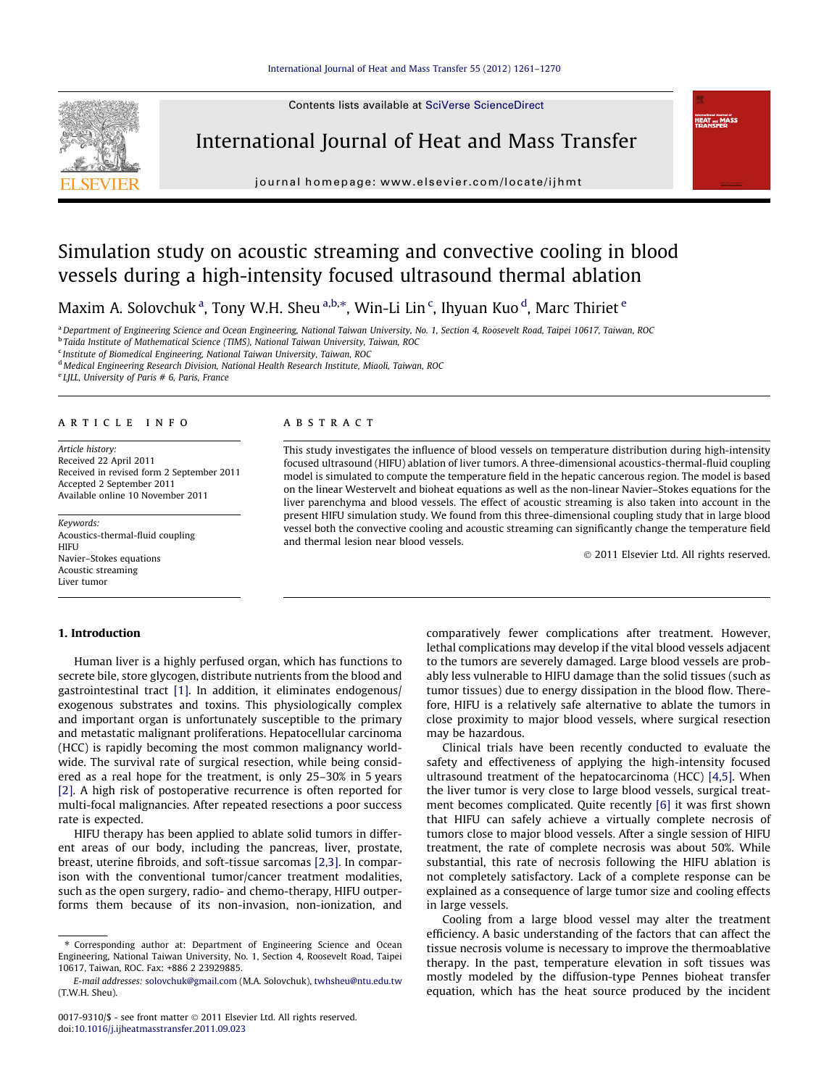Contents lists available at [SciVerse ScienceDirect](http://www.sciencedirect.com/science/journal/00179310)



International Journal of Heat and Mass Transfer

journal homepage: [www.elsevier.com/locate/ijhmt](http://www.elsevier.com/locate/ijhmt)

# Simulation study on acoustic streaming and convective cooling in blood vessels during a high-intensity focused ultrasound thermal ablation

Maxim A. Solovchuk $^{\rm a}$ , Tony W.H. Sheu $^{\rm a,b, *}$ , Win-Li Lin $^{\rm c}$ , Ihyuan Kuo $^{\rm d}$ , Marc Thiriet  $^{\rm e}$ 

aDepartment of Engineering Science and Ocean Engineering, National Taiwan University, No. 1, Section 4, Roosevelt Road, Taipei 10617, Taiwan, ROC <sup>b</sup> Taida Institute of Mathematical Science (TIMS), National Taiwan University, Taiwan, ROC

<sup>c</sup> Institute of Biomedical Engineering, National Taiwan University, Taiwan, ROC

<sup>d</sup> Medical Engineering Research Division, National Health Research Institute, Miaoli, Taiwan, ROC

 $e$  LJLL, University of Paris # 6, Paris, France

## article info

Article history: Received 22 April 2011 Received in revised form 2 September 2011 Accepted 2 September 2011 Available online 10 November 2011

Keywords: Acoustics-thermal-fluid coupling **HIFU** Navier–Stokes equations Acoustic streaming Liver tumor

#### 1. Introduction

Human liver is a highly perfused organ, which has functions to secrete bile, store glycogen, distribute nutrients from the blood and gastrointestinal tract [\[1\].](#page--1-0) In addition, it eliminates endogenous/ exogenous substrates and toxins. This physiologically complex and important organ is unfortunately susceptible to the primary and metastatic malignant proliferations. Hepatocellular carcinoma (HCC) is rapidly becoming the most common malignancy worldwide. The survival rate of surgical resection, while being considered as a real hope for the treatment, is only 25–30% in 5 years [\[2\]](#page--1-0). A high risk of postoperative recurrence is often reported for multi-focal malignancies. After repeated resections a poor success rate is expected.

HIFU therapy has been applied to ablate solid tumors in different areas of our body, including the pancreas, liver, prostate, breast, uterine fibroids, and soft-tissue sarcomas [\[2,3\]](#page--1-0). In comparison with the conventional tumor/cancer treatment modalities, such as the open surgery, radio- and chemo-therapy, HIFU outperforms them because of its non-invasion, non-ionization, and

#### ABSTRACT

This study investigates the influence of blood vessels on temperature distribution during high-intensity focused ultrasound (HIFU) ablation of liver tumors. A three-dimensional acoustics-thermal-fluid coupling model is simulated to compute the temperature field in the hepatic cancerous region. The model is based on the linear Westervelt and bioheat equations as well as the non-linear Navier–Stokes equations for the liver parenchyma and blood vessels. The effect of acoustic streaming is also taken into account in the present HIFU simulation study. We found from this three-dimensional coupling study that in large blood vessel both the convective cooling and acoustic streaming can significantly change the temperature field and thermal lesion near blood vessels.

- 2011 Elsevier Ltd. All rights reserved.

 $HEAT = M/$ 

comparatively fewer complications after treatment. However, lethal complications may develop if the vital blood vessels adjacent to the tumors are severely damaged. Large blood vessels are probably less vulnerable to HIFU damage than the solid tissues (such as tumor tissues) due to energy dissipation in the blood flow. Therefore, HIFU is a relatively safe alternative to ablate the tumors in close proximity to major blood vessels, where surgical resection may be hazardous.

Clinical trials have been recently conducted to evaluate the safety and effectiveness of applying the high-intensity focused ultrasound treatment of the hepatocarcinoma (HCC) [\[4,5\].](#page--1-0) When the liver tumor is very close to large blood vessels, surgical treatment becomes complicated. Quite recently [\[6\]](#page--1-0) it was first shown that HIFU can safely achieve a virtually complete necrosis of tumors close to major blood vessels. After a single session of HIFU treatment, the rate of complete necrosis was about 50%. While substantial, this rate of necrosis following the HIFU ablation is not completely satisfactory. Lack of a complete response can be explained as a consequence of large tumor size and cooling effects in large vessels.

Cooling from a large blood vessel may alter the treatment efficiency. A basic understanding of the factors that can affect the tissue necrosis volume is necessary to improve the thermoablative therapy. In the past, temperature elevation in soft tissues was mostly modeled by the diffusion-type Pennes bioheat transfer equation, which has the heat source produced by the incident

<sup>⇑</sup> Corresponding author at: Department of Engineering Science and Ocean Engineering, National Taiwan University, No. 1, Section 4, Roosevelt Road, Taipei 10617, Taiwan, ROC. Fax: +886 2 23929885.

E-mail addresses: [solovchuk@gmail.com](mailto:solovchuk@gmail.com) (M.A. Solovchuk), [twhsheu@ntu.edu.tw](mailto:twhsheu@ntu.edu.tw) (T.W.H. Sheu).

<sup>0017-9310/\$ -</sup> see front matter © 2011 Elsevier Ltd. All rights reserved. doi[:10.1016/j.ijheatmasstransfer.2011.09.023](http://dx.doi.org/10.1016/j.ijheatmasstransfer.2011.09.023)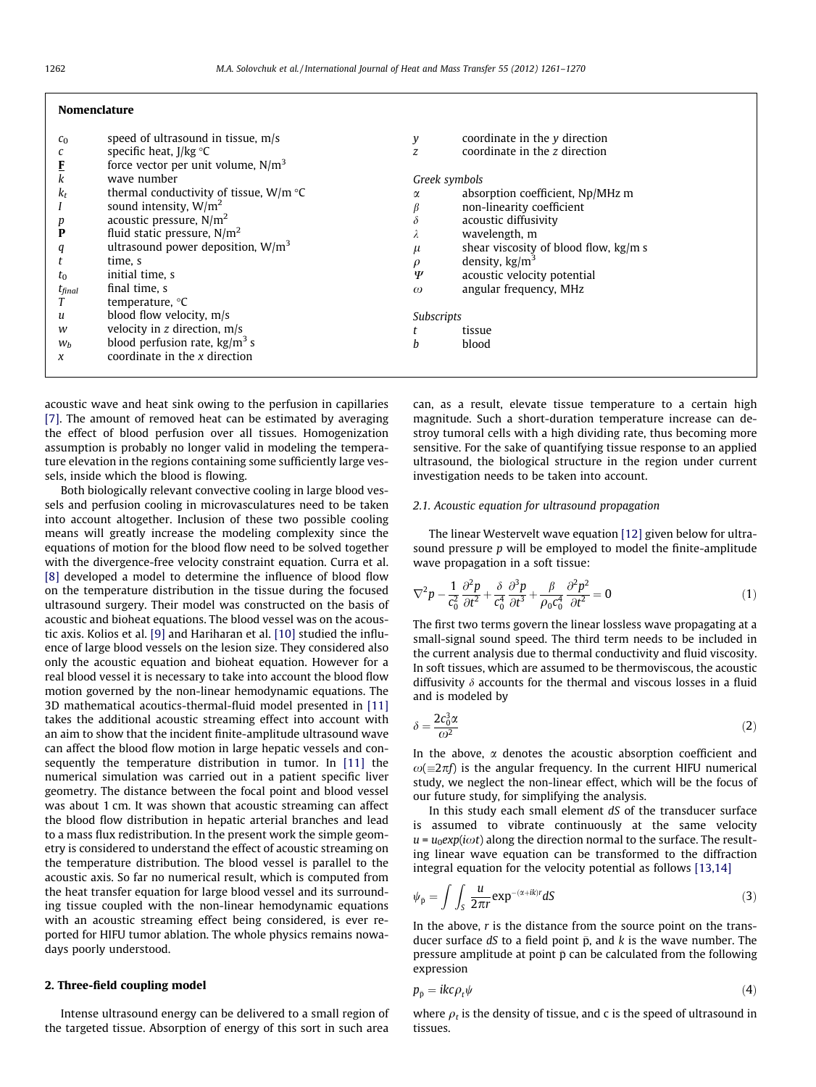| <b>Nomenclature</b>                 |                                                                                                                                                                                                   |                                          |                                                                                                                                                                                                  |
|-------------------------------------|---------------------------------------------------------------------------------------------------------------------------------------------------------------------------------------------------|------------------------------------------|--------------------------------------------------------------------------------------------------------------------------------------------------------------------------------------------------|
| $c_0$<br>k<br>$k_t$                 | speed of ultrasound in tissue, $m/s$<br>specific heat, $I/kg \text{ }^{\circ}C$<br>force vector per unit volume, $N/m3$<br>wave number<br>thermal conductivity of tissue, $W/m \text{ }^{\circ}C$ | y<br>Z<br>Greek symbols<br>α             | coordinate in the $y$ direction<br>coordinate in the z direction<br>absorption coefficient, Np/MHz m                                                                                             |
| p<br>P<br>q<br>$t_0$<br>$t_{final}$ | sound intensity, $W/m^2$<br>acoustic pressure, $N/m2$<br>fluid static pressure, $N/m2$<br>ultrasound power deposition, $W/m^3$<br>time, s<br>initial time, s<br>final time, s<br>temperature, °C  | $\delta$<br>Δ.<br>$\mu$<br>Ψ<br>$\omega$ | non-linearity coefficient<br>acoustic diffusivity<br>wavelength, m<br>shear viscosity of blood flow, kg/m s<br>density, $\text{kg/m}^3$<br>acoustic velocity potential<br>angular frequency, MHz |
| u<br>w<br>$W_b$                     | blood flow velocity, m/s<br>velocity in $z$ direction, $m/s$<br>blood perfusion rate, $\text{kg/m}^3$ s<br>coordinate in the x direction                                                          | <b>Subscripts</b><br>h                   | tissue<br>blood                                                                                                                                                                                  |
| x                                   |                                                                                                                                                                                                   |                                          |                                                                                                                                                                                                  |

acoustic wave and heat sink owing to the perfusion in capillaries [\[7\]](#page--1-0). The amount of removed heat can be estimated by averaging the effect of blood perfusion over all tissues. Homogenization assumption is probably no longer valid in modeling the temperature elevation in the regions containing some sufficiently large vessels, inside which the blood is flowing.

Both biologically relevant convective cooling in large blood vessels and perfusion cooling in microvasculatures need to be taken into account altogether. Inclusion of these two possible cooling means will greatly increase the modeling complexity since the equations of motion for the blood flow need to be solved together with the divergence-free velocity constraint equation. Curra et al. [\[8\]](#page--1-0) developed a model to determine the influence of blood flow on the temperature distribution in the tissue during the focused ultrasound surgery. Their model was constructed on the basis of acoustic and bioheat equations. The blood vessel was on the acoustic axis. Kolios et al. [\[9\]](#page--1-0) and Hariharan et al. [\[10\]](#page--1-0) studied the influence of large blood vessels on the lesion size. They considered also only the acoustic equation and bioheat equation. However for a real blood vessel it is necessary to take into account the blood flow motion governed by the non-linear hemodynamic equations. The 3D mathematical acoutics-thermal-fluid model presented in [\[11\]](#page--1-0) takes the additional acoustic streaming effect into account with an aim to show that the incident finite-amplitude ultrasound wave can affect the blood flow motion in large hepatic vessels and consequently the temperature distribution in tumor. In [\[11\]](#page--1-0) the numerical simulation was carried out in a patient specific liver geometry. The distance between the focal point and blood vessel was about 1 cm. It was shown that acoustic streaming can affect the blood flow distribution in hepatic arterial branches and lead to a mass flux redistribution. In the present work the simple geometry is considered to understand the effect of acoustic streaming on the temperature distribution. The blood vessel is parallel to the acoustic axis. So far no numerical result, which is computed from the heat transfer equation for large blood vessel and its surrounding tissue coupled with the non-linear hemodynamic equations with an acoustic streaming effect being considered, is ever reported for HIFU tumor ablation. The whole physics remains nowadays poorly understood.

## 2. Three-field coupling model

Intense ultrasound energy can be delivered to a small region of the targeted tissue. Absorption of energy of this sort in such area can, as a result, elevate tissue temperature to a certain high magnitude. Such a short-duration temperature increase can destroy tumoral cells with a high dividing rate, thus becoming more sensitive. For the sake of quantifying tissue response to an applied ultrasound, the biological structure in the region under current investigation needs to be taken into account.

#### 2.1. Acoustic equation for ultrasound propagation

The linear Westervelt wave equation [\[12\]](#page--1-0) given below for ultrasound pressure p will be employed to model the finite-amplitude wave propagation in a soft tissue:

$$
\nabla^2 p - \frac{1}{c_0^2} \frac{\partial^2 p}{\partial t^2} + \frac{\delta}{c_0^4} \frac{\partial^3 p}{\partial t^3} + \frac{\beta}{\rho_0 c_0^4} \frac{\partial^2 p^2}{\partial t^2} = 0
$$
 (1)

The first two terms govern the linear lossless wave propagating at a small-signal sound speed. The third term needs to be included in the current analysis due to thermal conductivity and fluid viscosity. In soft tissues, which are assumed to be thermoviscous, the acoustic diffusivity  $\delta$  accounts for the thermal and viscous losses in a fluid and is modeled by

$$
\delta = \frac{2c_0^3 \alpha}{\omega^2} \tag{2}
$$

In the above,  $\alpha$  denotes the acoustic absorption coefficient and  $\omega(\equiv 2\pi f)$  is the angular frequency. In the current HIFU numerical study, we neglect the non-linear effect, which will be the focus of our future study, for simplifying the analysis.

In this study each small element dS of the transducer surface is assumed to vibrate continuously at the same velocity  $u = u_0 exp(i\omega t)$  along the direction normal to the surface. The resulting linear wave equation can be transformed to the diffraction integral equation for the velocity potential as follows [\[13,14\]](#page--1-0)

$$
\psi_{\bar{p}} = \int \int_{S} \frac{u}{2\pi r} \exp^{-(\alpha + ik)r} dS \tag{3}
$$

In the above,  $r$  is the distance from the source point on the transducer surface  $dS$  to a field point  $\bar{p}$ , and  $k$  is the wave number. The pressure amplitude at point  $\bar{p}$  can be calculated from the following expression

$$
p_{\bar{p}} = ikc \rho_t \psi \tag{4}
$$

where  $\rho_t$  is the density of tissue, and c is the speed of ultrasound in tissues.